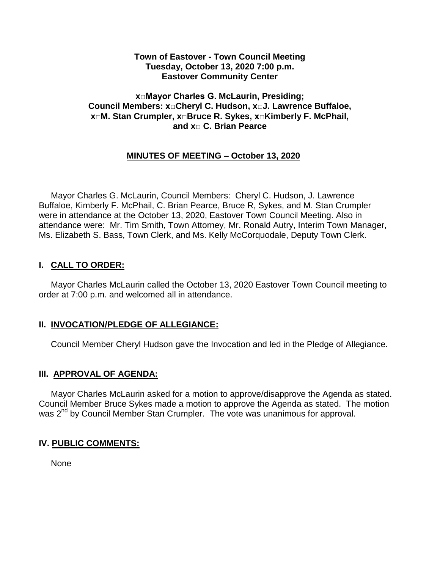#### **Town of Eastover - Town Council Meeting Tuesday, October 13, 2020 7:00 p.m. Eastover Community Center**

#### **x□Mayor Charles G. McLaurin, Presiding; Council Members: x□Cheryl C. Hudson, x□J. Lawrence Buffaloe, x□M. Stan Crumpler, x□Bruce R. Sykes, x□Kimberly F. McPhail, and x□ C. Brian Pearce**

## **MINUTES OF MEETING – October 13, 2020**

 Mayor Charles G. McLaurin, Council Members: Cheryl C. Hudson, J. Lawrence Buffaloe, Kimberly F. McPhail, C. Brian Pearce, Bruce R, Sykes, and M. Stan Crumpler were in attendance at the October 13, 2020, Eastover Town Council Meeting. Also in attendance were: Mr. Tim Smith, Town Attorney, Mr. Ronald Autry, Interim Town Manager, Ms. Elizabeth S. Bass, Town Clerk, and Ms. Kelly McCorquodale, Deputy Town Clerk.

# **I. CALL TO ORDER:**

 Mayor Charles McLaurin called the October 13, 2020 Eastover Town Council meeting to order at 7:00 p.m. and welcomed all in attendance.

### **II. INVOCATION/PLEDGE OF ALLEGIANCE:**

Council Member Cheryl Hudson gave the Invocation and led in the Pledge of Allegiance.

### **III. APPROVAL OF AGENDA:**

 Mayor Charles McLaurin asked for a motion to approve/disapprove the Agenda as stated. Council Member Bruce Sykes made a motion to approve the Agenda as stated. The motion was 2<sup>nd</sup> by Council Member Stan Crumpler. The vote was unanimous for approval.

### **IV. PUBLIC COMMENTS:**

None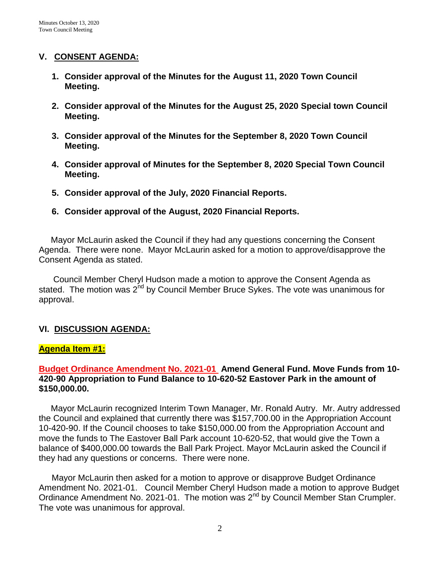### **V. CONSENT AGENDA:**

- **1. Consider approval of the Minutes for the August 11, 2020 Town Council Meeting.**
- **2. Consider approval of the Minutes for the August 25, 2020 Special town Council Meeting.**
- **3. Consider approval of the Minutes for the September 8, 2020 Town Council Meeting.**
- **4. Consider approval of Minutes for the September 8, 2020 Special Town Council Meeting.**
- **5. Consider approval of the July, 2020 Financial Reports.**
- **6. Consider approval of the August, 2020 Financial Reports.**

 Mayor McLaurin asked the Council if they had any questions concerning the Consent Agenda. There were none. Mayor McLaurin asked for a motion to approve/disapprove the Consent Agenda as stated.

 Council Member Cheryl Hudson made a motion to approve the Consent Agenda as stated. The motion was  $2^{nd}$  by Council Member Bruce Sykes. The vote was unanimous for approval.

# **VI. DISCUSSION AGENDA:**

# **Agenda Item #1:**

## **Budget Ordinance Amendment No. 2021-01 Amend General Fund. Move Funds from 10- 420-90 Appropriation to Fund Balance to 10-620-52 Eastover Park in the amount of \$150,000.00.**

 Mayor McLaurin recognized Interim Town Manager, Mr. Ronald Autry. Mr. Autry addressed the Council and explained that currently there was \$157,700.00 in the Appropriation Account 10-420-90. If the Council chooses to take \$150,000.00 from the Appropriation Account and move the funds to The Eastover Ball Park account 10-620-52, that would give the Town a balance of \$400,000.00 towards the Ball Park Project. Mayor McLaurin asked the Council if they had any questions or concerns. There were none.

Mayor McLaurin then asked for a motion to approve or disapprove Budget Ordinance Amendment No. 2021-01. Council Member Cheryl Hudson made a motion to approve Budget Ordinance Amendment No. 2021-01. The motion was 2<sup>nd</sup> by Council Member Stan Crumpler. The vote was unanimous for approval.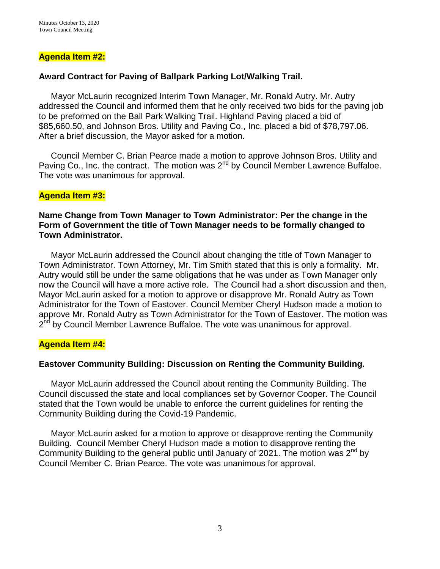### **Agenda Item #2:**

## **Award Contract for Paving of Ballpark Parking Lot/Walking Trail.**

 Mayor McLaurin recognized Interim Town Manager, Mr. Ronald Autry. Mr. Autry addressed the Council and informed them that he only received two bids for the paving job to be preformed on the Ball Park Walking Trail. Highland Paving placed a bid of \$85,660.50, and Johnson Bros. Utility and Paving Co., Inc. placed a bid of \$78,797.06. After a brief discussion, the Mayor asked for a motion.

 Council Member C. Brian Pearce made a motion to approve Johnson Bros. Utility and Paving Co., Inc. the contract. The motion was 2<sup>nd</sup> by Council Member Lawrence Buffaloe. The vote was unanimous for approval.

#### **Agenda Item #3:**

### **Name Change from Town Manager to Town Administrator: Per the change in the Form of Government the title of Town Manager needs to be formally changed to Town Administrator.**

 Mayor McLaurin addressed the Council about changing the title of Town Manager to Town Administrator. Town Attorney, Mr. Tim Smith stated that this is only a formality. Mr. Autry would still be under the same obligations that he was under as Town Manager only now the Council will have a more active role. The Council had a short discussion and then, Mayor McLaurin asked for a motion to approve or disapprove Mr. Ronald Autry as Town Administrator for the Town of Eastover. Council Member Cheryl Hudson made a motion to approve Mr. Ronald Autry as Town Administrator for the Town of Eastover. The motion was 2<sup>nd</sup> by Council Member Lawrence Buffaloe. The vote was unanimous for approval.

### **Agenda Item #4:**

### **Eastover Community Building: Discussion on Renting the Community Building.**

 Mayor McLaurin addressed the Council about renting the Community Building. The Council discussed the state and local compliances set by Governor Cooper. The Council stated that the Town would be unable to enforce the current guidelines for renting the Community Building during the Covid-19 Pandemic.

 Mayor McLaurin asked for a motion to approve or disapprove renting the Community Building. Council Member Cheryl Hudson made a motion to disapprove renting the Community Building to the general public until January of 2021. The motion was  $2^{nd}$  by Council Member C. Brian Pearce. The vote was unanimous for approval.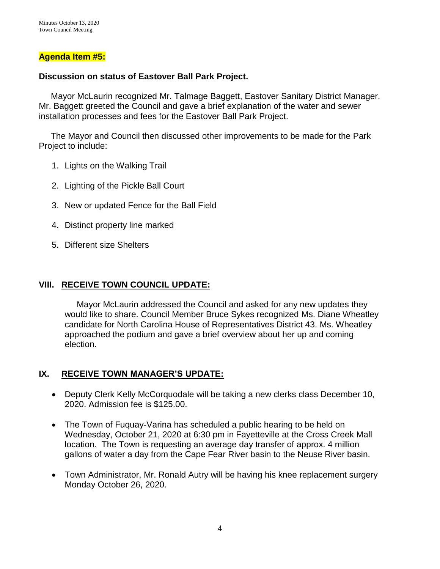### **Agenda Item #5:**

#### **Discussion on status of Eastover Ball Park Project.**

 Mayor McLaurin recognized Mr. Talmage Baggett, Eastover Sanitary District Manager. Mr. Baggett greeted the Council and gave a brief explanation of the water and sewer installation processes and fees for the Eastover Ball Park Project.

 The Mayor and Council then discussed other improvements to be made for the Park Project to include:

- 1. Lights on the Walking Trail
- 2. Lighting of the Pickle Ball Court
- 3. New or updated Fence for the Ball Field
- 4. Distinct property line marked
- 5. Different size Shelters

### **VIII. RECEIVE TOWN COUNCIL UPDATE:**

 Mayor McLaurin addressed the Council and asked for any new updates they would like to share. Council Member Bruce Sykes recognized Ms. Diane Wheatley candidate for North Carolina House of Representatives District 43. Ms. Wheatley approached the podium and gave a brief overview about her up and coming election.

#### **IX. RECEIVE TOWN MANAGER'S UPDATE:**

- Deputy Clerk Kelly McCorquodale will be taking a new clerks class December 10, 2020. Admission fee is \$125.00.
- The Town of Fuquay-Varina has scheduled a public hearing to be held on Wednesday, October 21, 2020 at 6:30 pm in Fayetteville at the Cross Creek Mall location. The Town is requesting an average day transfer of approx. 4 million gallons of water a day from the Cape Fear River basin to the Neuse River basin.
- Town Administrator, Mr. Ronald Autry will be having his knee replacement surgery Monday October 26, 2020.